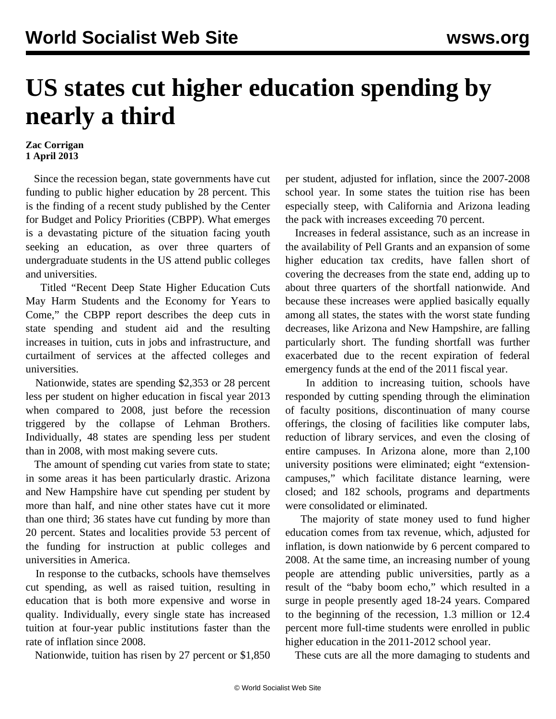## **US states cut higher education spending by nearly a third**

## **Zac Corrigan 1 April 2013**

 Since the recession began, state governments have cut funding to public higher education by 28 percent. This is the finding of a recent study published by the Center for Budget and Policy Priorities (CBPP). What emerges is a devastating picture of the situation facing youth seeking an education, as over three quarters of undergraduate students in the US attend public colleges and universities.

 Titled "[Recent Deep State Higher Education Cuts](http://www.cbpp.org/files/3-19-13sfp.pdf) [May Harm Students and the Economy for Years to](http://www.cbpp.org/files/3-19-13sfp.pdf) [Come](http://www.cbpp.org/files/3-19-13sfp.pdf)," the CBPP report describes the deep cuts in state spending and student aid and the resulting increases in tuition, cuts in jobs and infrastructure, and curtailment of services at the affected colleges and universities.

 Nationwide, states are spending \$2,353 or 28 percent less per student on higher education in fiscal year 2013 when compared to 2008, just before the recession triggered by the collapse of Lehman Brothers. Individually, 48 states are spending less per student than in 2008, with most making severe cuts.

The amount of spending cut varies from state to state; in some areas it has been particularly drastic. Arizona and New Hampshire have cut spending per student by more than half, and nine other states have cut it more than one third; 36 states have cut funding by more than 20 percent. States and localities provide 53 percent of the funding for instruction at public colleges and universities in America.

 In response to the cutbacks, schools have themselves cut spending, as well as raised tuition, resulting in education that is both more expensive and worse in quality. Individually, every single state has increased tuition at four-year public institutions faster than the rate of inflation since 2008.

Nationwide, tuition has risen by 27 percent or \$1,850

per student, adjusted for inflation, since the 2007-2008 school year. In some states the tuition rise has been especially steep, with California and Arizona leading the pack with increases exceeding 70 percent.

 Increases in federal assistance, such as an increase in the availability of Pell Grants and an expansion of some higher education tax credits, have fallen short of covering the decreases from the state end, adding up to about three quarters of the shortfall nationwide. And because these increases were applied basically equally among all states, the states with the worst state funding decreases, like Arizona and New Hampshire, are falling particularly short. The funding shortfall was further exacerbated due to the recent expiration of federal emergency funds at the end of the 2011 fiscal year.

 In addition to increasing tuition, schools have responded by cutting spending through the elimination of faculty positions, discontinuation of many course offerings, the closing of facilities like computer labs, reduction of library services, and even the closing of entire campuses. In Arizona alone, more than 2,100 university positions were eliminated; eight "extensioncampuses," which facilitate distance learning, were closed; and 182 schools, programs and departments were consolidated or eliminated.

 The majority of state money used to fund higher education comes from tax revenue, which, adjusted for inflation, is down nationwide by 6 percent compared to 2008. At the same time, an increasing number of young people are attending public universities, partly as a result of the "baby boom echo," which resulted in a surge in people presently aged 18-24 years. Compared to the beginning of the recession, 1.3 million or 12.4 percent more full-time students were enrolled in public higher education in the 2011-2012 school year.

These cuts are all the more damaging to students and